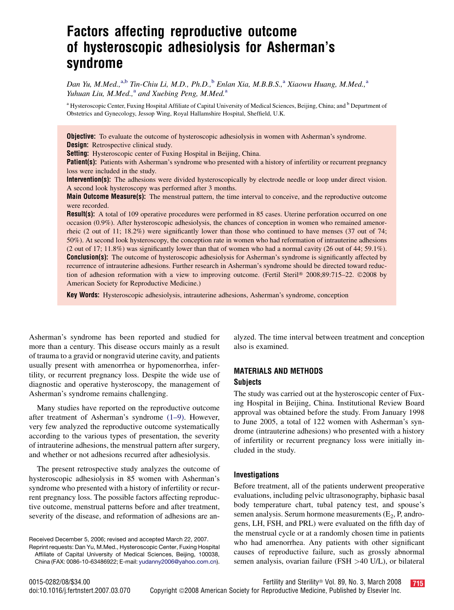# Factors affecting reproductive outcome of hysteroscopic adhesiolysis for Asherman's syndrome

Dan Yu, M.Med., $a$ ,b Tin-Chiu Li, M.D., Ph.D., $b$  Enlan Xia, M.B.B.S., $a$  Xiaowu Huang, M.Med., $a$ Yuhuan Liu, M.Med., $^a$  and Xuebing Peng, M.Med. $^a$ 

<sup>a</sup> Hysteroscopic Center, Fuxing Hospital Affiliate of Capital University of Medical Sciences, Beijing, China; and <sup>b</sup> Department of Obstetrics and Gynecology, Jessop Wing, Royal Hallamshire Hospital, Sheffield, U.K.

**Objective:** To evaluate the outcome of hysteroscopic adhesiolysis in women with Asherman's syndrome. **Design:** Retrospective clinical study.

Setting: Hysteroscopic center of Fuxing Hospital in Beijing, China.

Patient(s): Patients with Asherman's syndrome who presented with a history of infertility or recurrent pregnancy loss were included in the study.

Intervention(s): The adhesions were divided hysteroscopically by electrode needle or loop under direct vision. A second look hysteroscopy was performed after 3 months.

**Main Outcome Measure(s):** The menstrual pattern, the time interval to conceive, and the reproductive outcome were recorded.

Result(s): A total of 109 operative procedures were performed in 85 cases. Uterine perforation occurred on one occasion (0.9%). After hysteroscopic adhesiolysis, the chances of conception in women who remained amenorrheic (2 out of 11; 18.2%) were significantly lower than those who continued to have menses (37 out of 74; 50%). At second look hysteroscopy, the conception rate in women who had reformation of intrauterine adhesions (2 out of 17; 11.8%) was significantly lower than that of women who had a normal cavity (26 out of 44; 59.1%). **Conclusion(s):** The outcome of hysteroscopic adhesiolysis for Asherman's syndrome is significantly affected by recurrence of intrauterine adhesions. Further research in Asherman's syndrome should be directed toward reduction of adhesion reformation with a view to improving outcome. (Fertil Steril® 2008;89:715–22. ©2008 by American Society for Reproductive Medicine.)

Key Words: Hysteroscopic adhesiolysis, intrauterine adhesions, Asherman's syndrome, conception

Asherman's syndrome has been reported and studied for more than a century. This disease occurs mainly as a result of trauma to a gravid or nongravid uterine cavity, and patients usually present with amenorrhea or hypomenorrhea, infertility, or recurrent pregnancy loss. Despite the wide use of diagnostic and operative hysteroscopy, the management of Asherman's syndrome remains challenging.

Many studies have reported on the reproductive outcome after treatment of Asherman's syndrome [\(1–9\).](#page-6-0) However, very few analyzed the reproductive outcome systematically according to the various types of presentation, the severity of intrauterine adhesions, the menstrual pattern after surgery, and whether or not adhesions recurred after adhesiolysis.

The present retrospective study analyzes the outcome of hysteroscopic adhesiolysis in 85 women with Asherman's syndrome who presented with a history of infertility or recurrent pregnancy loss. The possible factors affecting reproductive outcome, menstrual patterns before and after treatment, severity of the disease, and reformation of adhesions are an-

Received December 5, 2006; revised and accepted March 22, 2007. Reprint requests: Dan Yu, M.Med., Hysteroscopic Center, Fuxing Hospital Affiliate of Capital University of Medical Sciences, Beijing, 100038,

China (FAX: 0086-10-63486922; E-mail: [yudanny2006@yahoo.com.cn\)](mailto:yudanny2006@yahoo.com.cn).

alyzed. The time interval between treatment and conception also is examined.

## MATERIALS AND METHODS **Subjects**

The study was carried out at the hysteroscopic center of Fuxing Hospital in Beijing, China. Institutional Review Board approval was obtained before the study. From January 1998 to June 2005, a total of 122 women with Asherman's syndrome (intrauterine adhesions) who presented with a history of infertility or recurrent pregnancy loss were initially included in the study.

#### Investigations

Before treatment, all of the patients underwent preoperative evaluations, including pelvic ultrasonography, biphasic basal body temperature chart, tubal patency test, and spouse's semen analysis. Serum hormone measurements  $(E_2, P, \text{andro-}$ gens, LH, FSH, and PRL) were evaluated on the fifth day of the menstrual cycle or at a randomly chosen time in patients who had amenorrhea. Any patients with other significant causes of reproductive failure, such as grossly abnormal semen analysis, ovarian failure (FSH >40 U/L), or bilateral

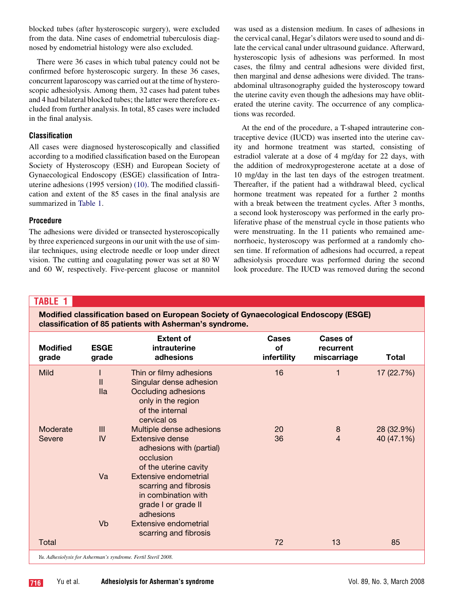blocked tubes (after hysteroscopic surgery), were excluded from the data. Nine cases of endometrial tuberculosis diagnosed by endometrial histology were also excluded.

There were 36 cases in which tubal patency could not be confirmed before hysteroscopic surgery. In these 36 cases, concurrent laparoscopy was carried out at the time of hysteroscopic adhesiolysis. Among them, 32 cases had patent tubes and 4 had bilateral blocked tubes; the latter were therefore excluded from further analysis. In total, 85 cases were included in the final analysis.

# Classification

All cases were diagnosed hysteroscopically and classified according to a modified classification based on the European Society of Hysteroscopy (ESH) and European Society of Gynaecological Endoscopy (ESGE) classification of Intrauterine adhesions (1995 version) [\(10\).](#page-6-0) The modified classification and extent of the 85 cases in the final analysis are summarized in Table 1.

# Procedure

The adhesions were divided or transected hysteroscopically by three experienced surgeons in our unit with the use of similar techniques, using electrode needle or loop under direct vision. The cutting and coagulating power was set at 80 W and 60 W, respectively. Five-percent glucose or mannitol was used as a distension medium. In cases of adhesions in the cervical canal, Hegar's dilators were used to sound and dilate the cervical canal under ultrasound guidance. Afterward, hysteroscopic lysis of adhesions was performed. In most cases, the filmy and central adhesions were divided first, then marginal and dense adhesions were divided. The transabdominal ultrasonography guided the hysteroscopy toward the uterine cavity even though the adhesions may have obliterated the uterine cavity. The occurrence of any complications was recorded.

At the end of the procedure, a T-shaped intrauterine contraceptive device (IUCD) was inserted into the uterine cavity and hormone treatment was started, consisting of estradiol valerate at a dose of 4 mg/day for 22 days, with the addition of medroxyprogesterone acetate at a dose of 10 mg/day in the last ten days of the estrogen treatment. Thereafter, if the patient had a withdrawal bleed, cyclical hormone treatment was repeated for a further 2 months with a break between the treatment cycles. After 3 months, a second look hysteroscopy was performed in the early proliferative phase of the menstrual cycle in those patients who were menstruating. In the 11 patients who remained amenorrhoeic, hysteroscopy was performed at a randomly chosen time. If reformation of adhesions had occurred, a repeat adhesiolysis procedure was performed during the second look procedure. The IUCD was removed during the second

# TABLE 1

Modified classification based on European Society of Gynaecological Endoscopy (ESGE) classification of 85 patients with Asherman's syndrome.

| <b>Modified</b><br>grade | <b>ESGE</b><br>grade | <b>Extent of</b><br>intrauterine<br>adhesions                                                                                     | <b>Cases</b><br>of<br>infertility | <b>Cases of</b><br>recurrent<br>miscarriage | Total      |
|--------------------------|----------------------|-----------------------------------------------------------------------------------------------------------------------------------|-----------------------------------|---------------------------------------------|------------|
| <b>Mild</b>              | Ш<br><b>Ila</b>      | Thin or filmy adhesions<br>Singular dense adhesion<br>Occluding adhesions<br>only in the region<br>of the internal<br>cervical os | 16                                | 1                                           | 17 (22.7%) |
| Moderate                 | III                  | Multiple dense adhesions                                                                                                          | 20                                | 8                                           | 28 (32.9%) |
| Severe                   | IV                   | Extensive dense<br>adhesions with (partial)<br>occlusion<br>of the uterine cavity                                                 | 36                                | 4                                           | 40 (47.1%) |
|                          | Va                   | Extensive endometrial<br>scarring and fibrosis<br>in combination with<br>grade I or grade II<br>adhesions                         |                                   |                                             |            |
|                          | Vb                   | Extensive endometrial                                                                                                             |                                   |                                             |            |
|                          |                      | scarring and fibrosis                                                                                                             |                                   |                                             |            |
| Total                    |                      |                                                                                                                                   | 72                                | 13                                          | 85         |
|                          |                      | Yu. Adhesiolysis for Asherman's syndrome. Fertil Steril 2008.                                                                     |                                   |                                             |            |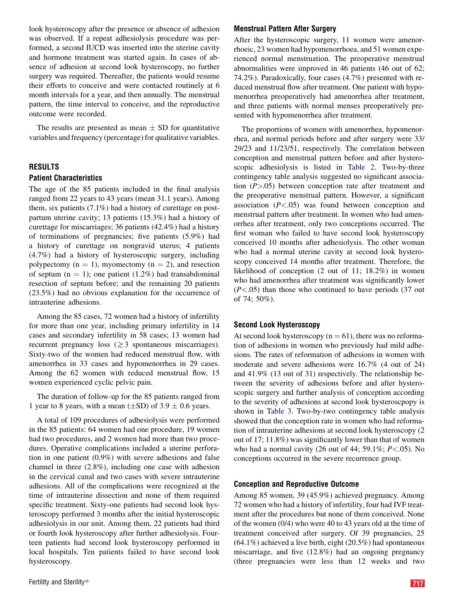look hysteroscopy after the presence or absence of adhesion was observed. If a repeat adhesiolysis procedure was performed, a second IUCD was inserted into the uterine cavity and hormone treatment was started again. In cases of absence of adhesion at second look hysteroscopy, no further surgery was required. Thereafter, the patients would resume their efforts to conceive and were contacted routinely at 6 month intervals for a year, and then annually. The menstrual pattern, the time interval to conceive, and the reproductive outcome were recorded.

The results are presented as mean  $\pm$  SD for quantitative variables and frequency (percentage) for qualitative variables.

### RESULTS

#### Patient Characteristics

The age of the 85 patients included in the final analysis ranged from 22 years to 43 years (mean 31.1 years). Among them, six patients (7.1%) had a history of curettage on postpartum uterine cavity; 13 patients (15.3%) had a history of curettage for miscarriages; 36 patients (42.4%) had a history of terminations of pregnancies; five patients (5.9%) had a history of curettage on nongravid uterus; 4 patients (4.7%) had a history of hysteroscopic surgery, including polypectomy  $(n = 1)$ , myomectomy  $(n = 2)$ , and resection of septum  $(n = 1)$ ; one patient (1.2%) had transabdominal resection of septum before; and the remaining 20 patients (23.5%) had no obvious explanation for the occurrence of intrauterine adhesions.

Among the 85 cases, 72 women had a history of infertility for more than one year, including primary infertility in 14 cases and secondary infertility in 58 cases; 13 women had recurrent pregnancy loss  $(\geq 3$  spontaneous miscarriages). Sixty-two of the women had reduced menstrual flow, with amenorrhea in 33 cases and hypomenorrhea in 29 cases. Among the 62 women with reduced menstrual flow, 15 women experienced cyclic pelvic pain.

The duration of follow-up for the 85 patients ranged from 1 year to 8 years, with a mean  $(\pm SD)$  of 3.9  $\pm$  0.6 years.

A total of 109 procedures of adhesiolysis were performed in the 85 patients: 64 women had one procedure, 19 women had two procedures, and 2 women had more than two procedures. Operative complications included a uterine perforation in one patient (0.9%) with severe adhesions and false channel in three (2.8%), including one case with adhesion in the cervical canal and two cases with severe intrauterine adhesions. All of the complications were recognized at the time of intrauterine dissection and none of them required specific treatment. Sixty-one patients had second look hysteroscopy performed 3 months after the initial hysteroscopic adhesiolysis in our unit. Among them, 22 patients had third or fourth look hysteroscopy after further adhesiolysis. Fourteen patients had second look hysteroscopy performed in local hospitals. Ten patients failed to have second look hysteroscopy.

### Menstrual Pattern After Surgery

After the hysteroscopic surgery, 11 women were amenorrhoeic, 23 women had hypomenorrhoea, and 51 women experienced normal menstruation. The preoperative menstrual abnormalities were improved in 46 patients (46 out of 62; 74.2%). Paradoxically, four cases (4.7%) presented with reduced menstrual flow after treatment. One patient with hypomenorrhea preoperatively had amenorrhea after treatment, and three patients with normal menses preoperatively presented with hypomenorrhea after treatment.

The proportions of women with amenorrhea, hypomenorrhea, and normal periods before and after surgery were 33/ 29/23 and 11/23/51, respectively. The correlation between conception and menstrual pattern before and after hysteroscopic adhesiolysis is listed in [Table 2](#page-3-0). Two-by-three contingency table analysis suggested no significant association  $(P > 0.05)$  between conception rate after treatment and the preoperative menstrual pattern. However, a significant association  $(P<.05)$  was found between conception and menstrual pattern after treatment. In women who had amenorrhea after treatment, only two conceptions occurred. The first woman who failed to have second look hysteroscopy conceived 10 months after adhesiolysis. The other woman who had a normal uterine cavity at second look hysteroscopy conceived 14 months after treatment. Therefore, the likelihood of conception (2 out of 11; 18.2%) in women who had amenorrhea after treatment was significantly lower  $(P<.05)$  than those who continued to have periods (37 out of 74; 50%).

#### Second Look Hysteroscopy

At second look hysteroscopy ( $n = 61$ ), there was no reformation of adhesions in women who previously had mild adhesions. The rates of reformation of adhesions in women with moderate and severe adhesions were 16.7% (4 out of 24) and 41.9% (13 out of 31) respectively. The relationship between the severity of adhesions before and after hysteroscopic surgery and further analysis of conception according to the severity of adhesions at second look hysteroscpopy is shown in [Table 3](#page-3-0). Two-by-two contingency table analysis showed that the conception rate in women who had reformation of intrauterine adhesions at second look hysteroscopy (2 out of 17; 11.8%) was significantly lower than that of women who had a normal cavity (26 out of 44; 59.1%;  $P < .05$ ). No conceptions occurred in the severe recurrence group.

### Conception and Reproductive Outcome

Among 85 women, 39 (45.9%) achieved pregnancy. Among 72 women who had a history of infertility, four had IVF treatment after the procedures but none of them conceived. None of the women (0/4) who were 40 to 43 years old at the time of treatment conceived after surgery. Of 39 pregnancies, 25 (64.1%) achieved a live birth, eight (20.5%) had spontaneous miscarriage, and five (12.8%) had an ongoing pregnancy (three pregnancies were less than 12 weeks and two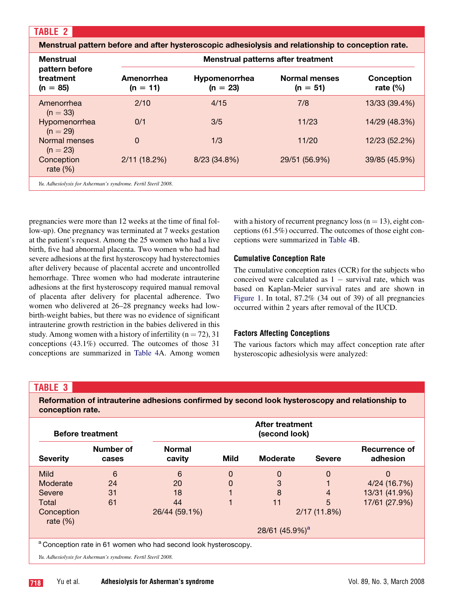<span id="page-3-0"></span>

| <b>Menstrual</b>                                              |                          | Menstrual pattern before and after hysteroscopic adhesiolysis and relationship to conception rate. | Menstrual patterns after treatment |                           |
|---------------------------------------------------------------|--------------------------|----------------------------------------------------------------------------------------------------|------------------------------------|---------------------------|
| pattern before<br>treatment<br>$(n = 85)$                     | Amenorrhea<br>$(n = 11)$ | <b>Hypomenorrhea</b><br>$(n = 23)$                                                                 | <b>Normal menses</b><br>$(n = 51)$ | Conception<br>rate $(\%)$ |
| Amenorrhea<br>$(n = 33)$                                      | 2/10                     | 4/15                                                                                               | 7/8                                | 13/33 (39.4%)             |
| Hypomenorrhea<br>$(n = 29)$                                   | 0/1                      | 3/5                                                                                                | 11/23                              | 14/29 (48.3%)             |
| Normal menses<br>$(n = 23)$                                   | $\mathbf 0$              | 1/3                                                                                                | 11/20                              | 12/23 (52.2%)             |
| Conception<br>rate $(\%)$                                     | 2/11(18.2%)              | 8/23 (34.8%)                                                                                       | 29/51 (56.9%)                      | 39/85 (45.9%)             |
| Yu. Adhesiolysis for Asherman's syndrome. Fertil Steril 2008. |                          |                                                                                                    |                                    |                           |

pregnancies were more than 12 weeks at the time of final follow-up). One pregnancy was terminated at 7 weeks gestation at the patient's request. Among the 25 women who had a live birth, five had abnormal placenta. Two women who had had severe adhesions at the first hysteroscopy had hysterectomies after delivery because of placental accrete and uncontrolled hemorrhage. Three women who had moderate intrauterine adhesions at the first hysteroscopy required manual removal of placenta after delivery for placental adherence. Two women who delivered at 26–28 pregnancy weeks had lowbirth-weight babies, but there was no evidence of significant intrauterine growth restriction in the babies delivered in this study. Among women with a history of infertility ( $n = 72$ ), 31 conceptions (43.1%) occurred. The outcomes of those 31 conceptions are summarized in [Table 4A](#page-4-0). Among women

with a history of recurrent pregnancy loss ( $n = 13$ ), eight conceptions (61.5%) occurred. The outcomes of those eight conceptions were summarized in [Table 4B](#page-4-0).

### Cumulative Conception Rate

The cumulative conception rates (CCR) for the subjects who conceived were calculated as  $1 -$  survival rate, which was based on Kaplan-Meier survival rates and are shown in [Figure 1.](#page-4-0) In total, 87.2% (34 out of 39) of all pregnancies occurred within 2 years after removal of the IUCD.

### Factors Affecting Conceptions

The various factors which may affect conception rate after hysteroscopic adhesiolysis were analyzed:

# TABLE 3

Reformation of intrauterine adhesions confirmed by second look hysteroscopy and relationship to conception rate.

|                           | <b>Before treatment</b> |                                                                            |      | After treatment<br>(second look) |               |                           |
|---------------------------|-------------------------|----------------------------------------------------------------------------|------|----------------------------------|---------------|---------------------------|
| <b>Severity</b>           | Number of<br>cases      | <b>Normal</b><br>cavity                                                    | Mild | Moderate                         | <b>Severe</b> | Recurrence of<br>adhesion |
| <b>Mild</b>               | 6                       | 6                                                                          | 0    | 0                                | $\mathbf 0$   | 0                         |
| Moderate                  | 24                      | 20                                                                         | 0    | 3                                |               | 4/24 (16.7%)              |
| Severe                    | 31                      | 18                                                                         |      | 8                                | 4             | 13/31 (41.9%)             |
| Total                     | 61                      | 44                                                                         |      | 11                               | 5             | 17/61 (27.9%)             |
| Conception<br>rate $(\%)$ |                         | 26/44 (59.1%)                                                              |      |                                  | 2/17(11.8%)   |                           |
|                           |                         |                                                                            |      | 28/61 $(45.9\%)^a$               |               |                           |
|                           |                         | <sup>a</sup> Conception rate in 61 women who had second look hysteroscopy. |      |                                  |               |                           |

Yu. Adhesiolysis for Asherman's syndrome. Fertil Steril 2008.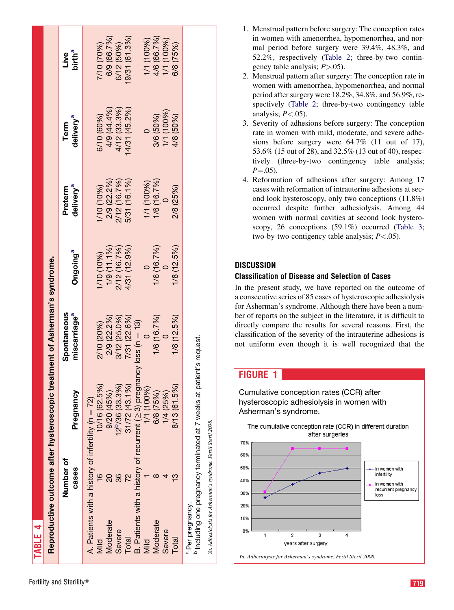<span id="page-4-0"></span>

| TABLE 4          |                                                               |                                                                            |                                         |                                             |                                  |                               |                                                      |
|------------------|---------------------------------------------------------------|----------------------------------------------------------------------------|-----------------------------------------|---------------------------------------------|----------------------------------|-------------------------------|------------------------------------------------------|
|                  |                                                               | Reproductive outcome after hysteroscopic treatment of Asherman's syndrome. |                                         |                                             |                                  |                               |                                                      |
|                  | Number of<br>cases                                            | Pregnancy                                                                  | Spontaneous<br>miscarriage <sup>a</sup> | Ongoing <sup>a</sup>                        | delivery <sup>a</sup><br>Preterm | delivery <sup>a</sup><br>Term | birth <sup>a</sup><br>Live                           |
|                  | A. Patients with a history of infertility (n = 72)            |                                                                            |                                         |                                             |                                  |                               |                                                      |
| Viid             | $\frac{6}{1}$                                                 | 10/16 (62.5%)                                                              | 2/10 (20%)                              | <b>170 (10%)</b>                            | /10 (10%)                        | 6/10 (60%)                    | 710 (70%)                                            |
| Moderate         | 20                                                            | 9/20(45%)                                                                  | 2/9 (22.2%)                             |                                             | 2/9 (22.2%)                      | 4/9 (44.4%)                   | 6/9 (66.7%)                                          |
| Severe           | 36                                                            | 12 <sup>b</sup> /36 (33.3%)                                                |                                         |                                             |                                  | 4/12 (33.3%)                  | 6/12 (50%)                                           |
| Total            |                                                               | $31/72$ (43.1%)                                                            | 3/12 (25.0%)<br>7/31 (22.6%)            | 1/9 (11.1%)<br>2/12 (16.7%)<br>4/31 (12.9%) | 2/12 (16.7%)<br>5/31 (16.1%)     | 4/31 (45.2%)                  | 9/31 (61.3%)                                         |
|                  |                                                               | B. Patients with a history of recurrent ( $\geq$ 3) pregna                 | ncy loss ( $n = 13$ )                   |                                             |                                  |                               |                                                      |
| Mild             |                                                               | 1/1 (100%)                                                                 |                                         |                                             | 1/1 (100%)                       |                               |                                                      |
| Moderate         |                                                               | 6/8 (75%)                                                                  | 1/6 (16.7%)                             | 1/6 (16.7%)                                 | 1/6 (16.7%)                      | 3/6 (50%)                     | 1/1 (100%)<br>4/6 (66.7%)<br>1/1 (100%)<br>6/8 (75%) |
| Severe           |                                                               | 1/4 (25%)                                                                  |                                         |                                             |                                  | 1/1 (100%)                    |                                                      |
| Total            | W                                                             | 8/13 (61.5%)                                                               | 1/8(12.5%)                              | 1/8(12.5%)                                  | 2/8 (25%)                        | 4/8 (50%)                     |                                                      |
| a Per pregnancy. |                                                               | Including one pregnancy terminated at 7 weeks at patient's request.        |                                         |                                             |                                  |                               |                                                      |
|                  | Yu. Adhesiolysis for Asherman's syndrome. Fertil Steril 2008. |                                                                            |                                         |                                             |                                  |                               |                                                      |

- 2. Menstrual pattern after surgery: The conception rate in women with amenorrhea, hypomenorrhea, and normal period after surgery were 18.2%, 34.8%, and 56.9%, respectively [\(Table 2](#page-3-0); three-by-two contingency table analysis;  $P < .05$ ).
- 3. Severity of adhesions before surgery: The conception rate in women with mild, moderate, and severe adhesions before surgery were 64.7% (11 out of 17), 53.6% (15 out of 28), and 32.5% (13 out of 40), respectively (three-by-two contingency table analysis;  $P = .05$ ).
- 4. Reformation of adhesions after surgery: Among 17 cases with reformation of intrauterine adhesions at second look hysteroscopy, only two conceptions (11.8%) occurred despite further adhesiolysis. Among 44 women with normal cavities at second look hysteroscopy, 26 conceptions (59.1%) occurred [\(Table 3](#page-3-0); two-by-two contigency table analysis;  $P < .05$ ).

# **DISCUSSION**

# Classification of Disease and Selection of Cases

In the present study, we have reported on the outcome of a consecutive series of 85 cases of hysteroscopic adhesiolysis for Asherman's syndrome. Although there have been a number of reports on the subject in the literature, it is difficult to directly compare the results for several reasons. First, the classification of the severity of the intrauterine adhesions is not uniform even though it is well recognized that the

# FIGURE 1

Cumulative conception rates (CCR) after hysteroscopic adhesiolysis in women with Asherman's syndrome.

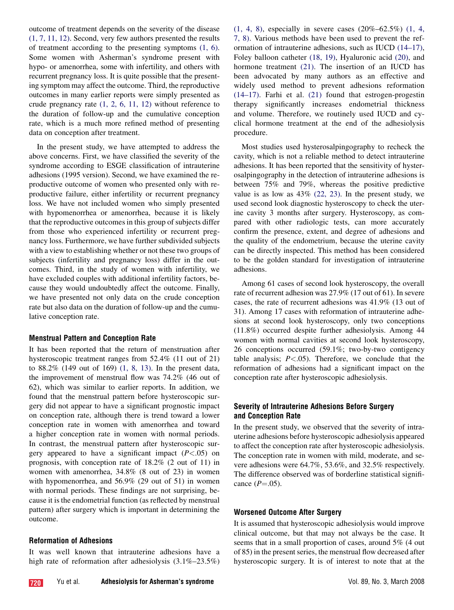outcome of treatment depends on the severity of the disease [\(1, 7, 11, 12\)](#page-6-0). Second, very few authors presented the results of treatment according to the presenting symptoms [\(1, 6\)](#page-6-0). Some women with Asherman's syndrome present with hypo- or amenorrhea, some with infertility, and others with recurrent pregnancy loss. It is quite possible that the presenting symptom may affect the outcome. Third, the reproductive outcomes in many earlier reports were simply presented as crude pregnancy rate  $(1, 2, 6, 11, 12)$  without reference to the duration of follow-up and the cumulative conception rate, which is a much more refined method of presenting data on conception after treatment.

In the present study, we have attempted to address the above concerns. First, we have classified the severity of the syndrome according to ESGE classification of intrauterine adhesions (1995 version). Second, we have examined the reproductive outcome of women who presented only with reproductive failure, either infertility or recurrent pregnancy loss. We have not included women who simply presented with hypomenorrhea or amenorrhea, because it is likely that the reproductive outcomes in this group of subjects differ from those who experienced infertility or recurrent pregnancy loss. Furthermore, we have further subdivided subjects with a view to establishing whether or not these two groups of subjects (infertility and pregnancy loss) differ in the outcomes. Third, in the study of women with infertility, we have excluded couples with additional infertility factors, because they would undoubtedly affect the outcome. Finally, we have presented not only data on the crude conception rate but also data on the duration of follow-up and the cumulative conception rate.

### Menstrual Pattern and Conception Rate

It has been reported that the return of menstruation after hysteroscopic treatment ranges from 52.4% (11 out of 21) to 88.2% (149 out of 169) [\(1, 8, 13\).](#page-6-0) In the present data, the improvement of menstrual flow was 74.2% (46 out of 62), which was similar to earlier reports. In addition, we found that the menstrual pattern before hysteroscopic surgery did not appear to have a significant prognostic impact on conception rate, although there is trend toward a lower conception rate in women with amenorrhea and toward a higher conception rate in women with normal periods. In contrast, the menstrual pattern after hysteroscopic surgery appeared to have a significant impact  $(P<.05)$  on prognosis, with conception rate of 18.2% (2 out of 11) in women with amenorrhea, 34.8% (8 out of 23) in women with hypomenorrhea, and 56.9% (29 out of 51) in women with normal periods. These findings are not surprising, because it is the endometrial function (as reflected by menstrual pattern) after surgery which is important in determining the outcome.

## Reformation of Adhesions

It was well known that intrauterine adhesions have a high rate of reformation after adhesiolysis  $(3.1\% - 23.5\%)$  [\(1, 4, 8\)](#page-6-0), especially in severe cases (20%–62.5%) [\(1, 4,](#page-6-0) [7, 8\).](#page-6-0) Various methods have been used to prevent the reformation of intrauterine adhesions, such as IUCD [\(14–17\)](#page-6-0), Foley balloon catheter [\(18, 19\),](#page-6-0) Hyaluronic acid [\(20\)](#page-6-0), and hormone treatment [\(21\)](#page-7-0). The insertion of an IUCD has been advocated by many authors as an effective and widely used method to prevent adhesions reformation [\(14–17\).](#page-6-0) Farhi et al. [\(21\)](#page-7-0) found that estrogen-progestin therapy significantly increases endometrial thickness and volume. Therefore, we routinely used IUCD and cyclical hormone treatment at the end of the adhesiolysis procedure.

Most studies used hysterosalpingography to recheck the cavity, which is not a reliable method to detect intrauterine adhesions. It has been reported that the sensitivity of hysterosalpingography in the detection of intrauterine adhesions is between 75% and 79%, whereas the positive predictive value is as low as  $43\%$  [\(22, 23\).](#page-7-0) In the present study, we used second look diagnostic hysteroscopy to check the uterine cavity 3 months after surgery. Hysteroscopy, as compared with other radiologic tests, can more accurately confirm the presence, extent, and degree of adhesions and the quality of the endometrium, because the uterine cavity can be directly inspected. This method has been considered to be the golden standard for investigation of intrauterine adhesions.

Among 61 cases of second look hysteroscopy, the overall rate of recurrent adhesion was 27.9% (17 out of 61). In severe cases, the rate of recurrent adhesions was 41.9% (13 out of 31). Among 17 cases with reformation of intrauterine adhesions at second look hysteroscopy, only two conceptions (11.8%) occurred despite further adhesiolysis. Among 44 women with normal cavities at second look hysteroscopy, 26 conceptions occurred (59.1%; two-by-two contigency table analysis;  $P < .05$ ). Therefore, we conclude that the reformation of adhesions had a significant impact on the conception rate after hysteroscopic adhesiolysis.

# Severity of Intrauterine Adhesions Before Surgery and Conception Rate

In the present study, we observed that the severity of intrauterine adhesions before hysteroscopic adhesiolysis appeared to affect the conception rate after hysteroscopic adhesiolysis. The conception rate in women with mild, moderate, and severe adhesions were 64.7%, 53.6%, and 32.5% respectively. The difference observed was of borderline statistical significance  $(P=.05)$ .

### Worsened Outcome After Surgery

It is assumed that hysteroscopic adhesiolysis would improve clinical outcome, but that may not always be the case. It seems that in a small proportion of cases, around 5% (4 out of 85) in the present series, the menstrual flow decreased after hysteroscopic surgery. It is of interest to note that at the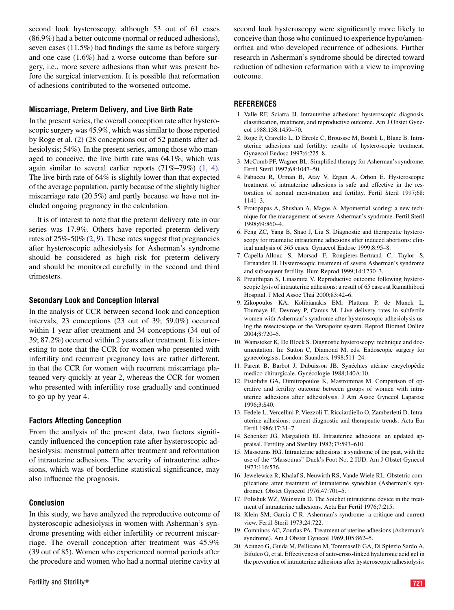<span id="page-6-0"></span>second look hysteroscopy, although 53 out of 61 cases (86.9%) had a better outcome (normal or reduced adhesions), seven cases (11.5%) had findings the same as before surgery and one case (1.6%) had a worse outcome than before surgery, i.e., more severe adhesions than what was present before the surgical intervention. It is possible that reformation of adhesions contributed to the worsened outcome.

### Miscarriage, Preterm Delivery, and Live Birth Rate

In the present series, the overall conception rate after hysteroscopic surgery was 45.9%, which was similar to those reported by Roge et al. (2) (28 conceptions out of 52 patients after adhesiolysis; 54%). In the present series, among those who managed to conceive, the live birth rate was 64.1%, which was again similar to several earlier reports (71%–79%) (1, 4). The live birth rate of 64% is slightly lower than that expected of the average population, partly because of the slightly higher miscarriage rate (20.5%) and partly because we have not included ongoing pregnancy in the calculation.

It is of interest to note that the preterm delivery rate in our series was 17.9%. Others have reported preterm delivery rates of  $25\% - 50\% (2, 9)$ . These rates suggest that pregnancies after hysteroscopic adhesiolysis for Asherman's syndrome should be considered as high risk for preterm delivery and should be monitored carefully in the second and third trimesters.

### Secondary Look and Conception Interval

In the analysis of CCR between second look and conception intervals, 23 conceptions (23 out of 39; 59.0%) occurred within 1 year after treatment and 34 conceptions (34 out of 39; 87.2%) occurred within 2 years after treatment. It is interesting to note that the CCR for women who presented with infertility and recurrent pregnancy loss are rather different, in that the CCR for women with recurrent miscarriage plateaued very quickly at year 2, whereas the CCR for women who presented with infertility rose gradually and continued to go up by year 4.

### Factors Affecting Conception

From the analysis of the present data, two factors significantly influenced the conception rate after hysteroscopic adhesiolysis: menstrual pattern after treatment and reformation of intrauterine adhesions. The severity of intrauterine adhesions, which was of borderline statistical significance, may also influence the prognosis.

#### Conclusion

In this study, we have analyzed the reproductive outcome of hysteroscopic adhesiolysis in women with Asherman's syndrome presenting with either infertility or recurrent miscarriage. The overall conception after treatment was 45.9% (39 out of 85). Women who experienced normal periods after the procedure and women who had a normal uterine cavity at second look hysteroscopy were significantly more likely to conceive than those who continued to experience hypo/amenorrhea and who developed recurrence of adhesions. Further research in Asherman's syndrome should be directed toward reduction of adhesion reformation with a view to improving outcome.

### **REFERENCES**

- 1. Valle RF, Sciarra JJ. Intrauterine adhesions: hysteroscopic diagnosis, classification, treatment, and reproductive outcome. Am J Obstet Gynecol 1988;158:1459–70.
- 2. Roge P, Cravello L, D'Ercole C, Broussse M, Boubli L, Blanc B. Intrauterine adhesions and fertility: results of hysteroscopic treatment. Gynaecol Endosc 1997;6:225–8.
- 3. McComb PF, Wagner BL. Simplified therapy for Asherman's syndrome. Fertil Steril 1997;68:1047–50.
- 4. Pabuccu R, Urman B, Atay V, Ergun A, Orhon E. Hysteroscopic treatment of intrauterine adhesions is safe and effective in the restoration of normal menstruation and fertility. Fertil Steril 1997;68: 1141–3.
- 5. Protopapas A, Shushan A, Magos A. Myometrial scoring: a new technique for the management of severe Asherman's syndrome. Fertil Steril 1998;69:860–4.
- 6. Feng ZC, Yang B, Shao J, Liu S. Diagnostic and therapeutic hysteroscopy for traumatic intrauterine adhesions after induced abortions: clinical analysis of 365 cases. Gynaecol Endosc 1999;8:95–8.
- 7. Capella-Allouc S, Morsad F, Rongieres-Bertrand C, Taylor S, Fernandez H. Hysteroscopic treatment of severe Asherman's syndrome and subsequent fertility. Hum Reprod 1999;14:1230–3.
- 8. Preutthipan S, Linasmita V. Reproductive outcome following hysteroscopic lysis of intrauterine adhesions: a result of 65 cases at Ramathibodi Hospital. J Med Assoc Thai 2000;83:42–6.
- 9. Zikopoulos KA, Kolibianakis EM, Platteau P, de Munck L, Tournaye H, Devroey P, Camus M. Live delivery rates in subfertile women with Asherman's syndrome after hysteroscopic adhesiolysis using the resectoscope or the Versapoint system. Reprod Biomed Online 2004;8:720–5.
- 10. Wamsteker K, De Block S. Diagnostic hysteroscopy: technique and documentation. In: Sutton C, Diamond M, eds. Endoscopic surgery for gynecologists. London: Saunders, 1998:511–24.
- 11. Parent B, Barbot J, Dubuisson JB. Synéchies utérine encyclopédie medico-chirurgicale. Gynécologie 1988;140A:10.
- 12. Pistofidis GA, Dimitropoulos K, Mastrominas M. Comparison of operative and fertility outcome between groups of women with intrauterine adhesions after adhesiolysis. J Am Assoc Gynecol Laparosc 1996;3:S40.
- 13. Fedele L, Vercellini P, Viezzoli T, Ricciardiello O, Zamberletti D. Intrauterine adhesions: current diagnostic and therapeutic trends. Acta Eur Fertil 1986;17:31–7.
- 14. Schenker JG, Margalioth EJ. Intrauterine adhesions: an updated appraisal. Fertility and Sterility 1982;37:593–610.
- 15. Massouras HG. Intrauterine adhesions: a syndrome of the past, with the use of the ''Massouras'' Duck's Foot No. 2 IUD. Am J Obstet Gynecol 1973;116:576.
- 16. Jewelewicz R, Khalaf S, Neuwirth RS, Vande Wiele RL. Obstetric complications after treatment of intrauterine synechiae (Asherman's syndrome). Obstet Gynecol 1976;47:701–5.
- 17. Polishuk WZ, Weinstein D. The Soichet intrauterine device in the treatment of intrauterine adhesions. Acta Eur Fertil 1976;7:215.
- 18. Klein SM, Garcia C-R. Asherman's syndrome: a critique and current view. Fertil Steril 1973;24:722.
- 19. Comninos AC, Zourlas PA. Treatment of uterine adhesions (Asherman's syndrome). Am J Obstet Gynecol 1969;105:862–5.
- 20. Acunzo G, Guida M, Pellicano M, Tommaselli GA, Di Spiezio Sardo A, Bifulco G, et al. Effectiveness of auto-cross-linked hyaluronic acid gel in the prevention of intrauterine adhesions after hysteroscopic adhesiolysis: